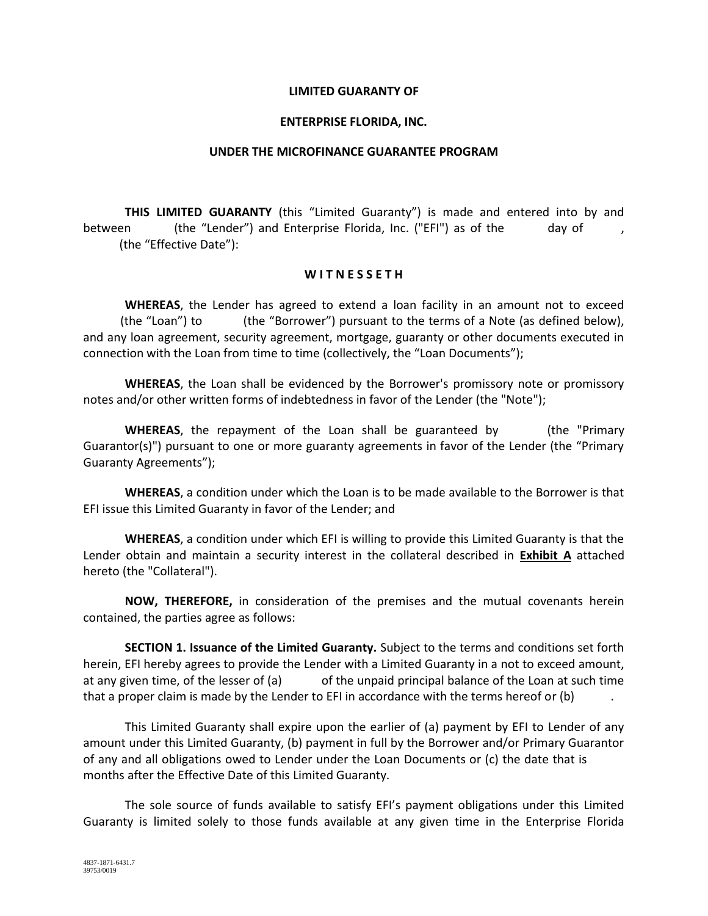## **LIMITED GUARANTY OF**

## **ENTERPRISE FLORIDA, INC.**

### **UNDER THE MICROFINANCE GUARANTEE PROGRAM**

**THIS LIMITED GUARANTY** (this "Limited Guaranty") is made and entered into by and between (the "Lender") and Enterprise Florida, Inc. ("EFI") as of the day of (the "Effective Date"):

### **W I T N E S S E T H**

**WHEREAS**, the Lender has agreed to extend a loan facility in an amount not to exceed (the "Loan") to (the "Borrower") pursuant to the terms of a Note (as defined below), and any loan agreement, security agreement, mortgage, guaranty or other documents executed in connection with the Loan from time to time (collectively, the "Loan Documents");

**WHEREAS**, the Loan shall be evidenced by the Borrower's promissory note or promissory notes and/or other written forms of indebtedness in favor of the Lender (the "Note");

**WHEREAS**, the repayment of the Loan shall be guaranteed by (the "Primary Guarantor(s)") pursuant to one or more guaranty agreements in favor of the Lender (the "Primary Guaranty Agreements");

**WHEREAS**, a condition under which the Loan is to be made available to the Borrower is that EFI issue this Limited Guaranty in favor of the Lender; and

**WHEREAS**, a condition under which EFI is willing to provide this Limited Guaranty is that the Lender obtain and maintain a security interest in the collateral described in **Exhibit A** attached hereto (the "Collateral").

**NOW, THEREFORE,** in consideration of the premises and the mutual covenants herein contained, the parties agree as follows:

**SECTION 1. Issuance of the Limited Guaranty.** Subject to the terms and conditions set forth herein, EFI hereby agrees to provide the Lender with a Limited Guaranty in a not to exceed amount, at any given time, of the lesser of (a) of the unpaid principal balance of the Loan at such time that a proper claim is made by the Lender to EFI in accordance with the terms hereof or (b)

This Limited Guaranty shall expire upon the earlier of (a) payment by EFI to Lender of any amount under this Limited Guaranty, (b) payment in full by the Borrower and/or Primary Guarantor of any and all obligations owed to Lender under the Loan Documents or (c) the date that is months after the Effective Date of this Limited Guaranty.

The sole source of funds available to satisfy EFI's payment obligations under this Limited Guaranty is limited solely to those funds available at any given time in the Enterprise Florida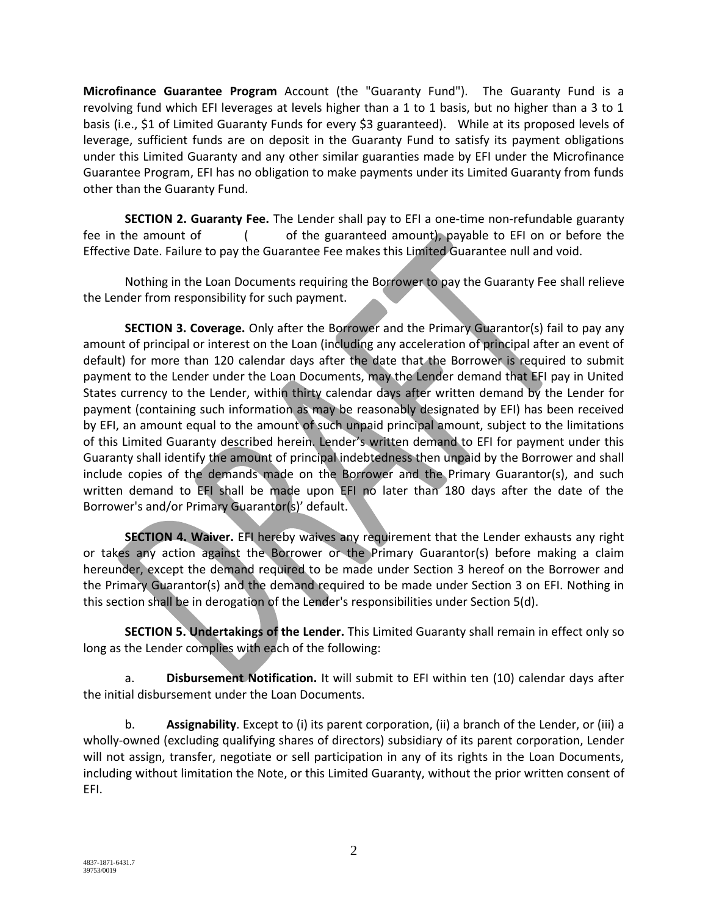**Microfinance Guarantee Program** Account (the "Guaranty Fund"). The Guaranty Fund is a revolving fund which EFI leverages at levels higher than a 1 to 1 basis, but no higher than a 3 to 1 basis (i.e., \$1 of Limited Guaranty Funds for every \$3 guaranteed). While at its proposed levels of leverage, sufficient funds are on deposit in the Guaranty Fund to satisfy its payment obligations under this Limited Guaranty and any other similar guaranties made by EFI under the Microfinance Guarantee Program, EFI has no obligation to make payments under its Limited Guaranty from funds other than the Guaranty Fund.

**SECTION 2. Guaranty Fee.** The Lender shall pay to EFI a one-time non-refundable guaranty fee in the amount of ( of the guaranteed amount), payable to EFI on or before the Effective Date. Failure to pay the Guarantee Fee makes this Limited Guarantee null and void.

Nothing in the Loan Documents requiring the Borrower to pay the Guaranty Fee shall relieve the Lender from responsibility for such payment.

**SECTION 3. Coverage.** Only after the Borrower and the Primary Guarantor(s) fail to pay any amount of principal or interest on the Loan (including any acceleration of principal after an event of default) for more than 120 calendar days after the date that the Borrower is required to submit payment to the Lender under the Loan Documents, may the Lender demand that EFI pay in United States currency to the Lender, within thirty calendar days after written demand by the Lender for payment (containing such information as may be reasonably designated by EFI) has been received by EFI, an amount equal to the amount of such unpaid principal amount, subject to the limitations of this Limited Guaranty described herein. Lender's written demand to EFI for payment under this Guaranty shall identify the amount of principal indebtedness then unpaid by the Borrower and shall include copies of the demands made on the Borrower and the Primary Guarantor(s), and such written demand to EFI shall be made upon EFI no later than 180 days after the date of the Borrower's and/or Primary Guarantor(s)' default.

**SECTION 4. Waiver.** EFI hereby waives any requirement that the Lender exhausts any right or takes any action against the Borrower or the Primary Guarantor(s) before making a claim hereunder, except the demand required to be made under Section 3 hereof on the Borrower and the Primary Guarantor(s) and the demand required to be made under Section 3 on EFI. Nothing in this section shall be in derogation of the Lender's responsibilities under Section 5(d).

**SECTION 5. Undertakings of the Lender.** This Limited Guaranty shall remain in effect only so long as the Lender complies with each of the following:

a. **Disbursement Notification.** It will submit to EFI within ten (10) calendar days after the initial disbursement under the Loan Documents.

b. **Assignability**. Except to (i) its parent corporation, (ii) a branch of the Lender, or (iii) a wholly-owned (excluding qualifying shares of directors) subsidiary of its parent corporation, Lender will not assign, transfer, negotiate or sell participation in any of its rights in the Loan Documents, including without limitation the Note, or this Limited Guaranty, without the prior written consent of EFI.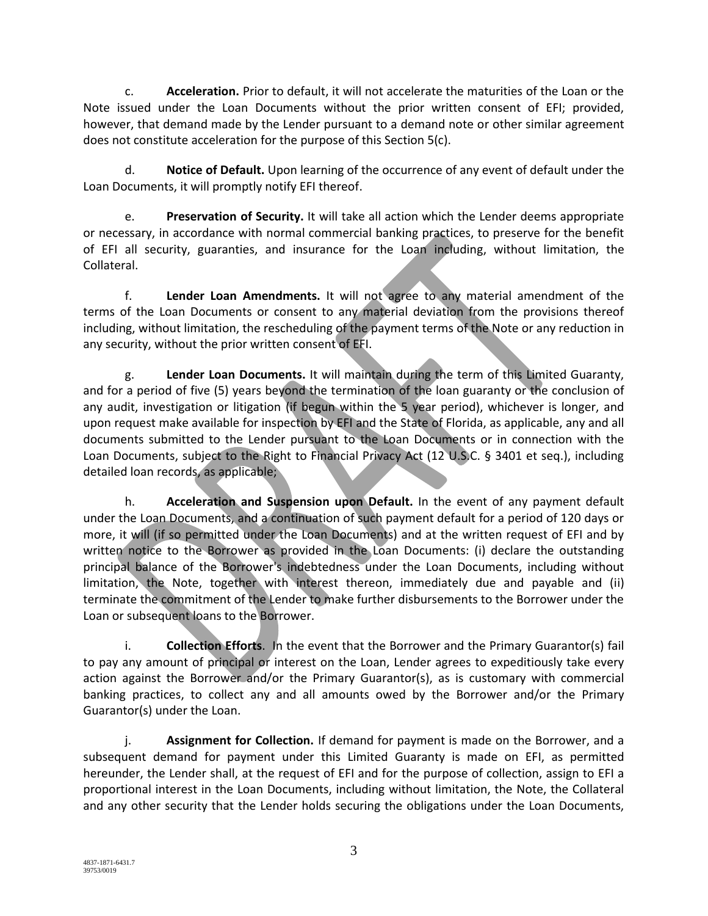c. **Acceleration.** Prior to default, it will not accelerate the maturities of the Loan or the Note issued under the Loan Documents without the prior written consent of EFI; provided, however, that demand made by the Lender pursuant to a demand note or other similar agreement does not constitute acceleration for the purpose of this Section 5(c).

d. **Notice of Default.** Upon learning of the occurrence of any event of default under the Loan Documents, it will promptly notify EFI thereof.

e. **Preservation of Security.** It will take all action which the Lender deems appropriate or necessary, in accordance with normal commercial banking practices, to preserve for the benefit of EFI all security, guaranties, and insurance for the Loan including, without limitation, the Collateral.

f. **Lender Loan Amendments.** It will not agree to any material amendment of the terms of the Loan Documents or consent to any material deviation from the provisions thereof including, without limitation, the rescheduling of the payment terms of the Note or any reduction in any security, without the prior written consent of EFI.

g. **Lender Loan Documents.** It will maintain during the term of this Limited Guaranty, and for a period of five (5) years beyond the termination of the loan guaranty or the conclusion of any audit, investigation or litigation (if begun within the 5 year period), whichever is longer, and upon request make available for inspection by EFI and the State of Florida, as applicable, any and all documents submitted to the Lender pursuant to the Loan Documents or in connection with the Loan Documents, subject to the Right to Financial Privacy Act (12 U.S.C. § 3401 et seq.), including detailed loan records, as applicable;

h. **Acceleration and Suspension upon Default.** In the event of any payment default under the Loan Documents, and a continuation of such payment default for a period of 120 days or more, it will (if so permitted under the Loan Documents) and at the written request of EFI and by written notice to the Borrower as provided in the Loan Documents: (i) declare the outstanding principal balance of the Borrower's indebtedness under the Loan Documents, including without limitation, the Note, together with interest thereon, immediately due and payable and (ii) terminate the commitment of the Lender to make further disbursements to the Borrower under the Loan or subsequent loans to the Borrower.

i. **Collection Efforts**. In the event that the Borrower and the Primary Guarantor(s) fail to pay any amount of principal or interest on the Loan, Lender agrees to expeditiously take every action against the Borrower and/or the Primary Guarantor(s), as is customary with commercial banking practices, to collect any and all amounts owed by the Borrower and/or the Primary Guarantor(s) under the Loan.

j. **Assignment for Collection.** If demand for payment is made on the Borrower, and a subsequent demand for payment under this Limited Guaranty is made on EFI, as permitted hereunder, the Lender shall, at the request of EFI and for the purpose of collection, assign to EFI a proportional interest in the Loan Documents, including without limitation, the Note, the Collateral and any other security that the Lender holds securing the obligations under the Loan Documents,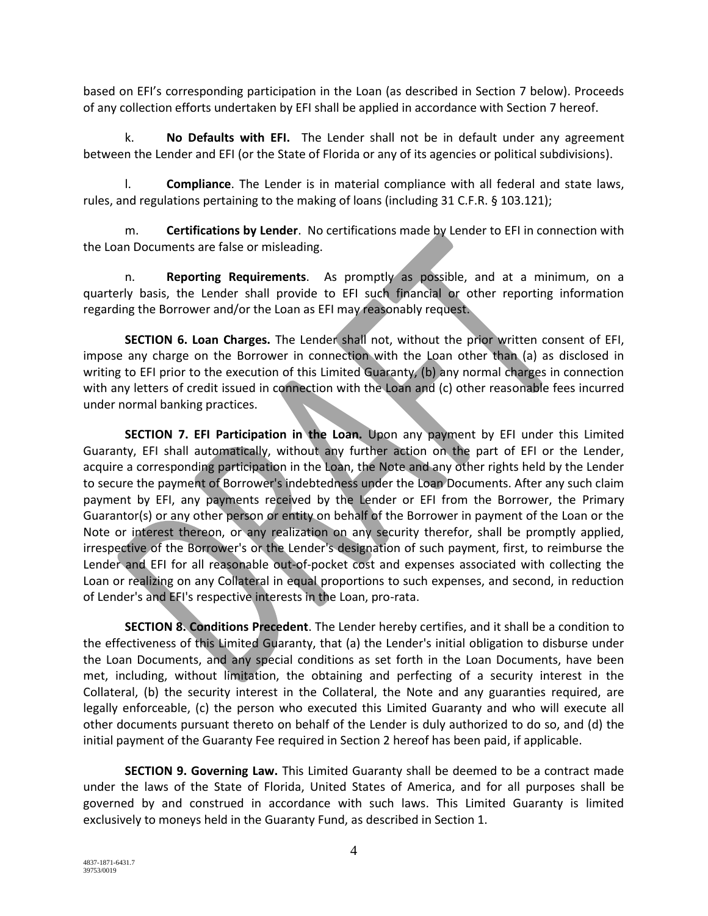based on EFI's corresponding participation in the Loan (as described in Section 7 below). Proceeds of any collection efforts undertaken by EFI shall be applied in accordance with Section 7 hereof.

k. **No Defaults with EFI.** The Lender shall not be in default under any agreement between the Lender and EFI (or the State of Florida or any of its agencies or political subdivisions).

l. **Compliance**. The Lender is in material compliance with all federal and state laws, rules, and regulations pertaining to the making of loans (including 31 C.F.R. § 103.121);

m. **Certifications by Lender**. No certifications made by Lender to EFI in connection with the Loan Documents are false or misleading.

n. **Reporting Requirements**. As promptly as possible, and at a minimum, on a quarterly basis, the Lender shall provide to EFI such financial or other reporting information regarding the Borrower and/or the Loan as EFI may reasonably request.

**SECTION 6. Loan Charges.** The Lender shall not, without the prior written consent of EFI, impose any charge on the Borrower in connection with the Loan other than (a) as disclosed in writing to EFI prior to the execution of this Limited Guaranty, (b) any normal charges in connection with any letters of credit issued in connection with the Loan and (c) other reasonable fees incurred under normal banking practices.

**SECTION 7. EFI Participation in the Loan.** Upon any payment by EFI under this Limited Guaranty, EFI shall automatically, without any further action on the part of EFI or the Lender, acquire a corresponding participation in the Loan, the Note and any other rights held by the Lender to secure the payment of Borrower's indebtedness under the Loan Documents. After any such claim payment by EFI, any payments received by the Lender or EFI from the Borrower, the Primary Guarantor(s) or any other person or entity on behalf of the Borrower in payment of the Loan or the Note or interest thereon, or any realization on any security therefor, shall be promptly applied, irrespective of the Borrower's or the Lender's designation of such payment, first, to reimburse the Lender and EFI for all reasonable out-of-pocket cost and expenses associated with collecting the Loan or realizing on any Collateral in equal proportions to such expenses, and second, in reduction of Lender's and EFI's respective interests in the Loan, pro-rata.

**SECTION 8. Conditions Precedent**. The Lender hereby certifies, and it shall be a condition to the effectiveness of this Limited Guaranty, that (a) the Lender's initial obligation to disburse under the Loan Documents, and any special conditions as set forth in the Loan Documents, have been met, including, without limitation, the obtaining and perfecting of a security interest in the Collateral, (b) the security interest in the Collateral, the Note and any guaranties required, are legally enforceable, (c) the person who executed this Limited Guaranty and who will execute all other documents pursuant thereto on behalf of the Lender is duly authorized to do so, and (d) the initial payment of the Guaranty Fee required in Section 2 hereof has been paid, if applicable.

**SECTION 9. Governing Law.** This Limited Guaranty shall be deemed to be a contract made under the laws of the State of Florida, United States of America, and for all purposes shall be governed by and construed in accordance with such laws. This Limited Guaranty is limited exclusively to moneys held in the Guaranty Fund, as described in Section 1.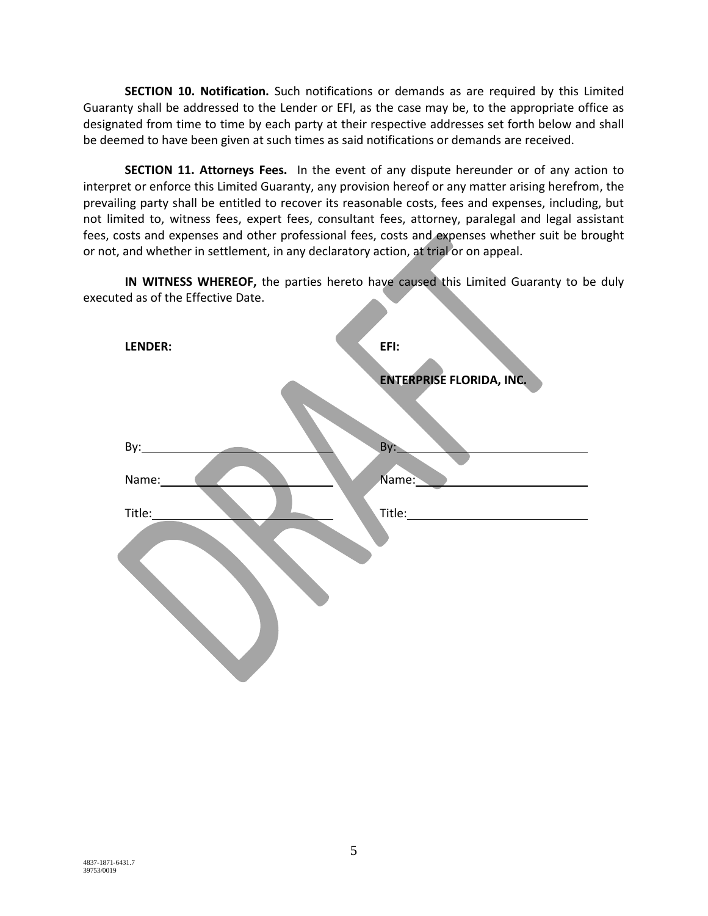**SECTION 10. Notification.** Such notifications or demands as are required by this Limited Guaranty shall be addressed to the Lender or EFI, as the case may be, to the appropriate office as designated from time to time by each party at their respective addresses set forth below and shall be deemed to have been given at such times as said notifications or demands are received.

**SECTION 11. Attorneys Fees.** In the event of any dispute hereunder or of any action to interpret or enforce this Limited Guaranty, any provision hereof or any matter arising herefrom, the prevailing party shall be entitled to recover its reasonable costs, fees and expenses, including, but not limited to, witness fees, expert fees, consultant fees, attorney, paralegal and legal assistant fees, costs and expenses and other professional fees, costs and expenses whether suit be brought or not, and whether in settlement, in any declaratory action, at trial or on appeal.

**IN WITNESS WHEREOF,** the parties hereto have caused this Limited Guaranty to be duly executed as of the Effective Date.

| LENDER: | EFI:                     |
|---------|--------------------------|
|         | ENTERPRISE FLORIDA, INC. |
|         |                          |
|         | By:                      |
| Name:   | Name:                    |
| Title:  |                          |
|         |                          |
|         |                          |